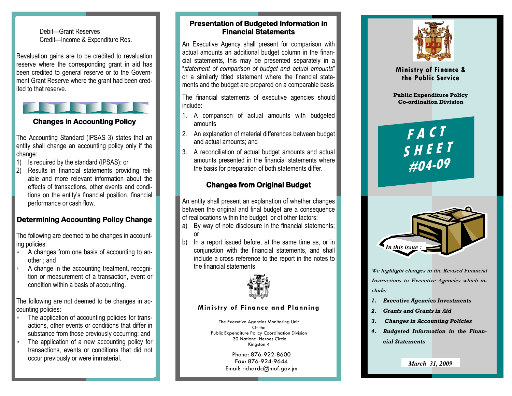#### Debit—Grant Reserves Credit—Income & Expenditure Res.

Revaluation gains are to be credited to revaluation reserve where the corresponding grant in aid has been credited to general reserve or to the Government Grant Reserve where the grant had been credited to that reserve.

### **Changes in Accounting Policy**

The Accounting Standard (IPSAS 3) states that an entity shall change an accounting policy only if the change:

- 1) Is required by the standard (IPSAS): or
- 2) Results in financial statements providing reliable and more relevant information about the effects of transactions, other events and conditions on the entity's financial position, financial performance or cash flow.

#### Determining Accounting Policy Change

The following are deemed to be changes in accounting policies:

- ∗ A changes from one basis of accounting to another ; and
- $P$ condition within a basis of accounting. ∗ A change in the accounting treatment, recognition or measurement of a transaction, event or

The following are not deemed to be changes in accounting policies:

- ∗ The application of accounting policies for transactions, other events or conditions that differ in substance from those previously occurring: and
- ∗ The application of a new accounting policy for transactions, events or conditions that did not occur previously or were immaterial.

#### Presentation of Budgeted Information in **Financial Statements**

An Executive Agency shall present for comparison with actual amounts an additional budget column in the financial statements, this may be presented separately in a "statement of comparison of budget and actual amounts" or a similarly titled statement where the financial statements and the budget are prepared on a comparable basis

The financial statements of executive agencies should include:

- 1. A comparison of actual amounts with budgeted amounts
- 2. An explanation of material differences between budget and actual amounts; and
- 3. A reconciliation of actual budget amounts and actual amounts presented in the financial statements wherethe basis for preparation of both statements differ.

#### **Changes from Original Budget**

An entity shall present an explanation of whether changes between the original and final budget are a consequence of reallocations within the budget, or of other factors:

- a) By way of note disclosure in the financial statements; or
- b) In a report issued before, at the same time as, or in conjunction with the financial statements, and shall include a cross reference to the report in the notes to the financial statements.



#### Ministry of Finance and Planning

The Executive Agencies Monitoring Unit Of the Public Expenditure Policy Coordination Division 30 National Heroes Circle Kingston 4

> Phone: 876-922-8600 Fax: 876-924-9644 Email: richardc@mof.gov.jm



Ministry of Finance & the Public Service

Public Expenditure Policy Co-ordination Division

# FACT SHEET#04-09



We highlight changes in the Revised Financial Instructions to Executive Agencies which include:

- 1. Executive Agencies Investments
- 2. Grants and Grants in Aid
- 3. Changes in Accounting Policies
- 4. Budgeted Information in the Financial Statements

*March 31, 2009*